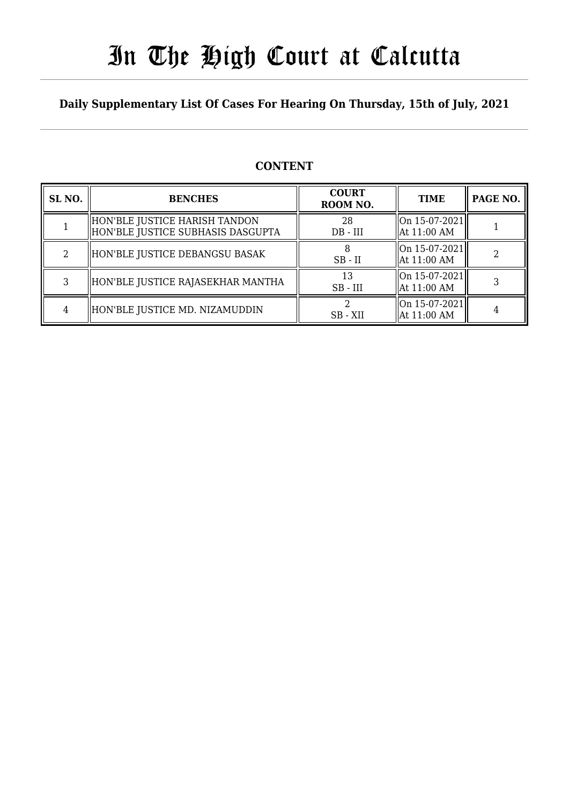# In The High Court at Calcutta

### **Daily Supplementary List Of Cases For Hearing On Thursday, 15th of July, 2021**

| SL <sub>NO.</sub> | <b>BENCHES</b>                                                     | <b>COURT</b><br>ROOM NO. | <b>TIME</b>                               | PAGE NO. |
|-------------------|--------------------------------------------------------------------|--------------------------|-------------------------------------------|----------|
|                   | HON'BLE JUSTICE HARISH TANDON<br>HON'BLE JUSTICE SUBHASIS DASGUPTA | 28<br>$DB$ - $III$       | On 15-07-2021<br>$\parallel$ At 11:00 AM  |          |
| 2                 | HON'BLE JUSTICE DEBANGSU BASAK                                     | $SB$ - $II$              | On 15-07-2021 <br>  At 11:00 AM           |          |
| 3                 | HON'BLE JUSTICE RAJASEKHAR MANTHA                                  | 13<br>$SB$ - $III$       | On 15-07-2021 <br>$\parallel$ At 11:00 AM |          |
| 4                 | HON'BLE JUSTICE MD. NIZAMUDDIN                                     | SB - XII                 | On 15-07-2021<br>  At 11:00 AM            |          |

### **CONTENT**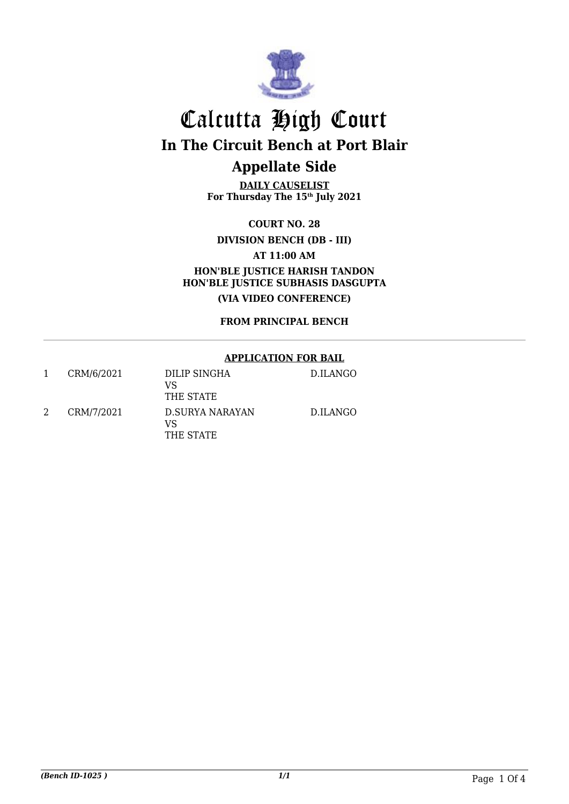

# **DAILY CAUSELIST**

**For Thursday The 15th July 2021**

**COURT NO. 28**

#### **DIVISION BENCH (DB - III)**

**AT 11:00 AM**

**HON'BLE JUSTICE HARISH TANDON HON'BLE JUSTICE SUBHASIS DASGUPTA (VIA VIDEO CONFERENCE)**

**FROM PRINCIPAL BENCH**

#### **APPLICATION FOR BAIL**

| 1 | CRM/6/2021 | DILIP SINGHA<br>VS<br>THE STATE    | D.ILANGO |
|---|------------|------------------------------------|----------|
| 2 | CRM/7/2021 | D.SURYA NARAYAN<br>VS<br>THE STATE | D.ILANGO |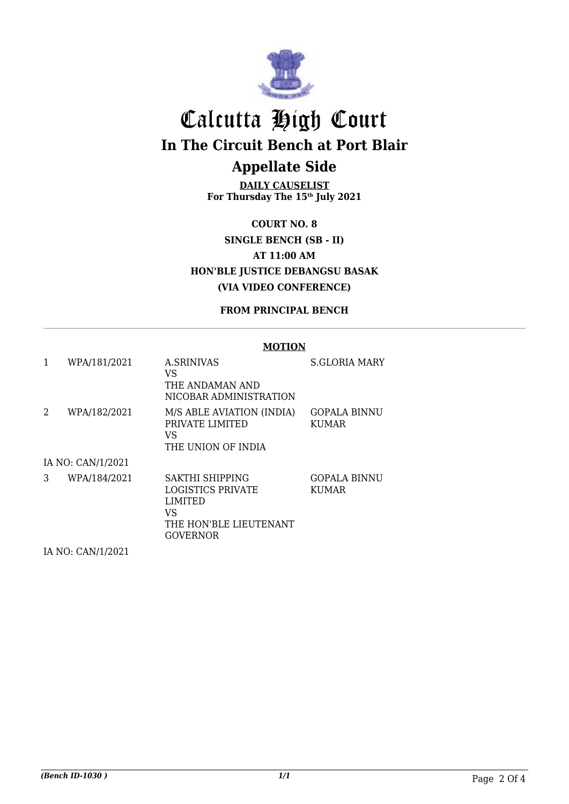

### **DAILY CAUSELIST**

**For Thursday The 15th July 2021**

**COURT NO. 8 SINGLE BENCH (SB - II) AT 11:00 AM HON'BLE JUSTICE DEBANGSU BASAK (VIA VIDEO CONFERENCE)**

#### **FROM PRINCIPAL BENCH**

#### **MOTION**

| 1 | WPA/181/2021      | <b>A.SRINIVAS</b><br>VS<br>THE ANDAMAN AND<br>NICOBAR ADMINISTRATION                               | <b>S.GLORIA MARY</b>                |
|---|-------------------|----------------------------------------------------------------------------------------------------|-------------------------------------|
| 2 | WPA/182/2021      | M/S ABLE AVIATION (INDIA)<br>PRIVATE LIMITED<br>VS<br>THE UNION OF INDIA                           | <b>GOPALA BINNU</b><br><b>KUMAR</b> |
|   | IA NO: CAN/1/2021 |                                                                                                    |                                     |
| 3 | WPA/184/2021      | SAKTHI SHIPPING<br>LOGISTICS PRIVATE<br><b>LIMITED</b><br>VS<br>THE HON'BLE LIEUTENANT<br>GOVERNOR | <b>GOPALA BINNU</b><br><b>KUMAR</b> |

IA NO: CAN/1/2021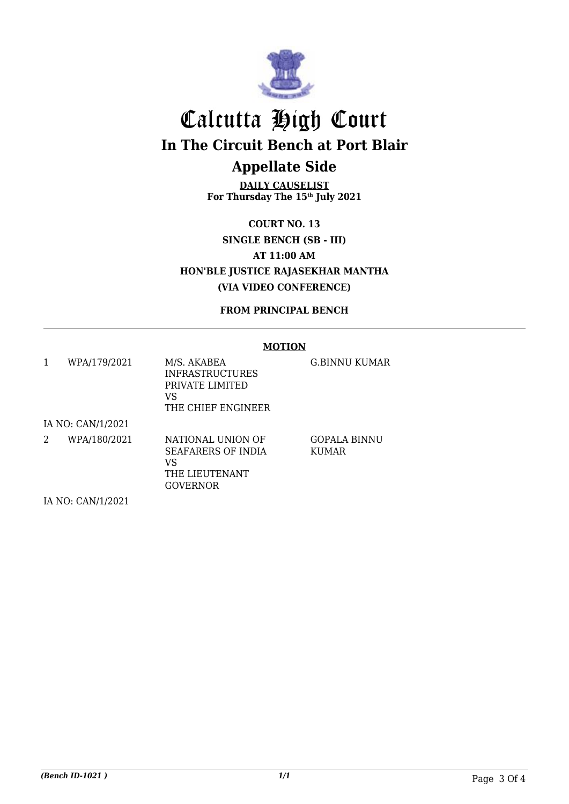

**DAILY CAUSELIST For Thursday The 15th July 2021**

**COURT NO. 13 SINGLE BENCH (SB - III) AT 11:00 AM HON'BLE JUSTICE RAJASEKHAR MANTHA (VIA VIDEO CONFERENCE)**

**FROM PRINCIPAL BENCH**

#### **MOTION**

|   | WPA/179/2021      | M/S. AKABEA<br><b>INFRASTRUCTURES</b><br>PRIVATE LIMITED<br>VS<br>THE CHIEF ENGINEER | G.BINNU KUMAR         |  |  |
|---|-------------------|--------------------------------------------------------------------------------------|-----------------------|--|--|
|   | IA NO: CAN/1/2021 |                                                                                      |                       |  |  |
| 2 | WPA/180/2021      | NATIONAL UNION OF<br>SEAFARERS OF INDIA<br>VS<br>THE LIEUTENANT<br><b>GOVERNOR</b>   | GOPALA BINNU<br>KUMAR |  |  |
|   | IA NO: CAN/1/2021 |                                                                                      |                       |  |  |

*(Bench ID-1021 ) 1/1* Page 3 Of 4